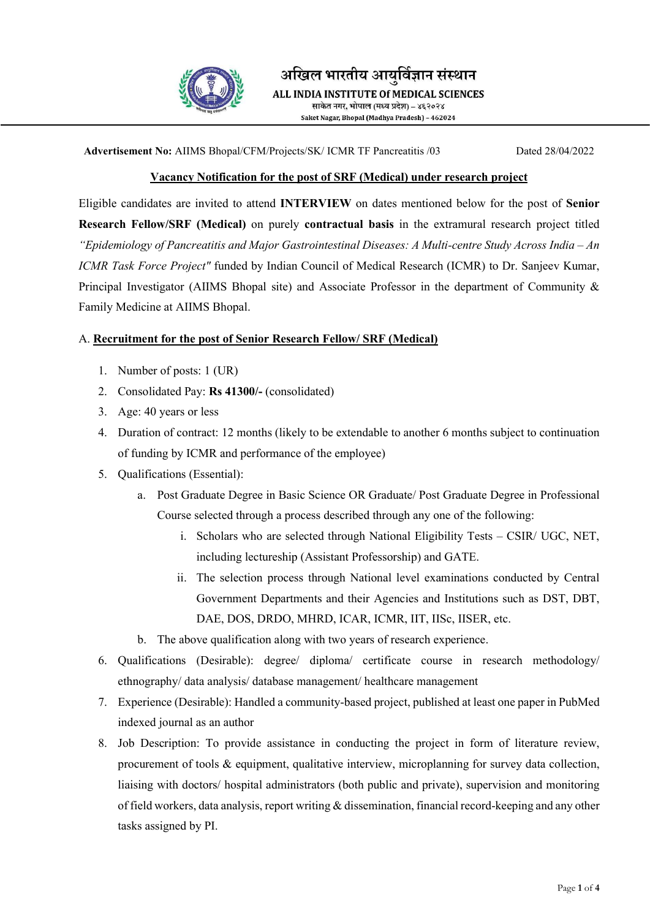

अखिल भारतीय आयुर्विज्ञान संस्थान ALL INDIA INSTITUTE Of MEDICAL SCIENCES साकेत नगर, भोपाल (मध्य प्रदेश) – ४६२०२४

Saket Nagar, Bhopal (Madhya Pradesh) - 462024

Advertisement No: AIIMS Bhopal/CFM/Projects/SK/ ICMR TF Pancreatitis /03 Dated 28/04/2022

## Vacancy Notification for the post of SRF (Medical) under research project

Eligible candidates are invited to attend INTERVIEW on dates mentioned below for the post of Senior Research Fellow/SRF (Medical) on purely contractual basis in the extramural research project titled "Epidemiology of Pancreatitis and Major Gastrointestinal Diseases: A Multi-centre Study Across India – An ICMR Task Force Project" funded by Indian Council of Medical Research (ICMR) to Dr. Sanjeev Kumar, Principal Investigator (AIIMS Bhopal site) and Associate Professor in the department of Community & Family Medicine at AIIMS Bhopal.

## A. Recruitment for the post of Senior Research Fellow/ SRF (Medical)

- 1. Number of posts: 1 (UR)
- 2. Consolidated Pay: Rs 41300/- (consolidated)
- 3. Age: 40 years or less
- 4. Duration of contract: 12 months (likely to be extendable to another 6 months subject to continuation of funding by ICMR and performance of the employee)
- 5. Qualifications (Essential):
	- a. Post Graduate Degree in Basic Science OR Graduate/ Post Graduate Degree in Professional Course selected through a process described through any one of the following:
		- i. Scholars who are selected through National Eligibility Tests CSIR/ UGC, NET, including lectureship (Assistant Professorship) and GATE.
		- ii. The selection process through National level examinations conducted by Central Government Departments and their Agencies and Institutions such as DST, DBT, DAE, DOS, DRDO, MHRD, ICAR, ICMR, IIT, IISc, IISER, etc.
	- b. The above qualification along with two years of research experience.
- 6. Qualifications (Desirable): degree/ diploma/ certificate course in research methodology/ ethnography/ data analysis/ database management/ healthcare management
- 7. Experience (Desirable): Handled a community-based project, published at least one paper in PubMed indexed journal as an author
- 8. Job Description: To provide assistance in conducting the project in form of literature review, procurement of tools & equipment, qualitative interview, microplanning for survey data collection, liaising with doctors/ hospital administrators (both public and private), supervision and monitoring of field workers, data analysis, report writing & dissemination, financial record-keeping and any other tasks assigned by PI.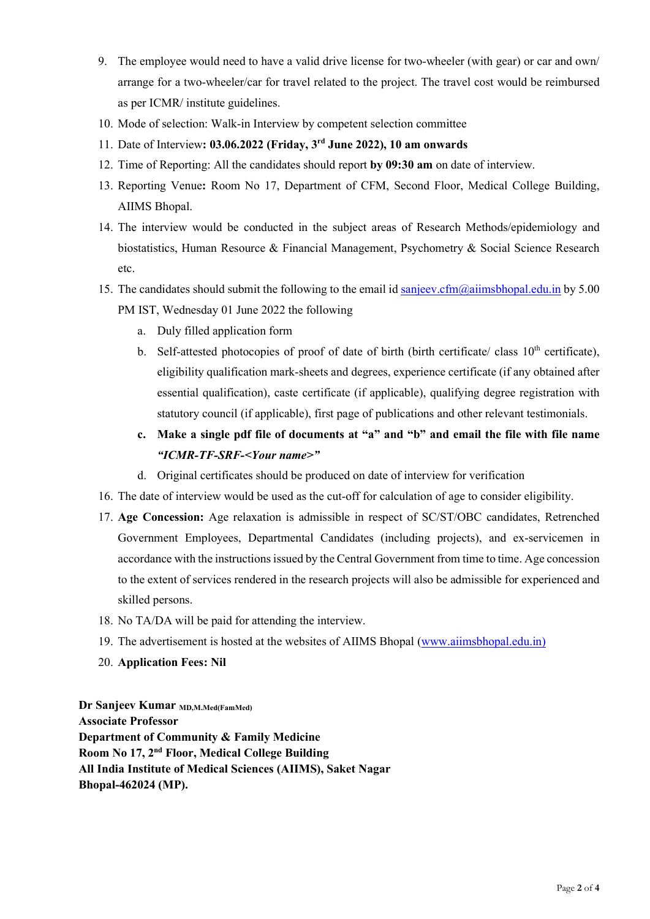- 9. The employee would need to have a valid drive license for two-wheeler (with gear) or car and own/ arrange for a two-wheeler/car for travel related to the project. The travel cost would be reimbursed as per ICMR/ institute guidelines.
- 10. Mode of selection: Walk-in Interview by competent selection committee
- 11. Date of Interview: 03.06.2022 (Friday, 3rd June 2022), 10 am onwards
- 12. Time of Reporting: All the candidates should report by 09:30 am on date of interview.
- 13. Reporting Venue: Room No 17, Department of CFM, Second Floor, Medical College Building, AIIMS Bhopal.
- 14. The interview would be conducted in the subject areas of Research Methods/epidemiology and biostatistics, Human Resource & Financial Management, Psychometry & Social Science Research etc.
- 15. The candidates should submit the following to the email id sanjeev.cfm@aiimsbhopal.edu.in by 5.00 PM IST, Wednesday 01 June 2022 the following
	- a. Duly filled application form
	- b. Self-attested photocopies of proof of date of birth (birth certificate/ class  $10<sup>th</sup>$  certificate), eligibility qualification mark-sheets and degrees, experience certificate (if any obtained after essential qualification), caste certificate (if applicable), qualifying degree registration with statutory council (if applicable), first page of publications and other relevant testimonials.
	- c. Make a single pdf file of documents at "a" and "b" and email the file with file name "ICMR-TF-SRF-<Your name>"
	- d. Original certificates should be produced on date of interview for verification
- 16. The date of interview would be used as the cut-off for calculation of age to consider eligibility.
- 17. Age Concession: Age relaxation is admissible in respect of SC/ST/OBC candidates, Retrenched Government Employees, Departmental Candidates (including projects), and ex-servicemen in accordance with the instructions issued by the Central Government from time to time. Age concession to the extent of services rendered in the research projects will also be admissible for experienced and skilled persons.
- 18. No TA/DA will be paid for attending the interview.
- 19. The advertisement is hosted at the websites of AIIMS Bhopal (www.aiimsbhopal.edu.in)
- 20. Application Fees: Nil

Dr Sanjeev Kumar MD,M.Med(FamMed) Associate Professor Department of Community & Family Medicine Room No 17, 2nd Floor, Medical College Building All India Institute of Medical Sciences (AIIMS), Saket Nagar Bhopal-462024 (MP).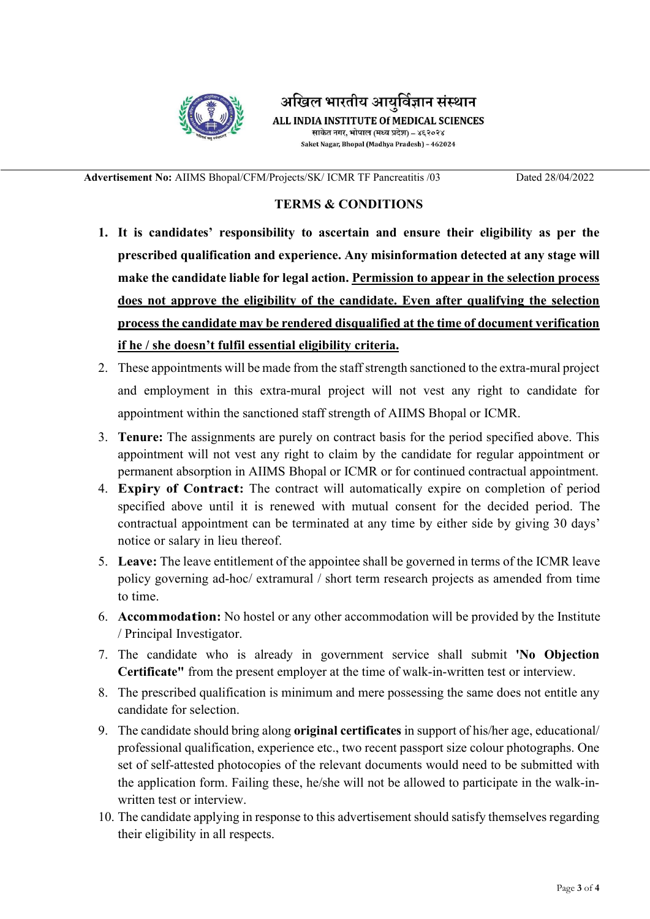

अखिल भारतीय आयुर्विज्ञान संस्थान ALL INDIA INSTITUTE Of MEDICAL SCIENCES साकेत नगर, भोपाल (मध्य प्रदेश) – ४६२०२४ Saket Nagar, Bhopal (Madhya Pradesh) - 462024

Advertisement No: AIIMS Bhopal/CFM/Projects/SK/ ICMR TF Pancreatitis /03 Dated 28/04/2022

## TERMS & CONDITIONS

- 1. It is candidates' responsibility to ascertain and ensure their eligibility as per the prescribed qualification and experience. Any misinformation detected at any stage will make the candidate liable for legal action. Permission to appear in the selection process does not approve the eligibility of the candidate. Even after qualifying the selection process the candidate may be rendered disqualified at the time of document verification if he / she doesn't fulfil essential eligibility criteria.
- 2. These appointments will be made from the staff strength sanctioned to the extra-mural project and employment in this extra-mural project will not vest any right to candidate for appointment within the sanctioned staff strength of AIIMS Bhopal or ICMR.
- 3. Tenure: The assignments are purely on contract basis for the period specified above. This appointment will not vest any right to claim by the candidate for regular appointment or permanent absorption in AIIMS Bhopal or ICMR or for continued contractual appointment.
- 4. Expiry of Contract: The contract will automatically expire on completion of period specified above until it is renewed with mutual consent for the decided period. The contractual appointment can be terminated at any time by either side by giving 30 days' notice or salary in lieu thereof.
- 5. Leave: The leave entitlement of the appointee shall be governed in terms of the ICMR leave policy governing ad-hoc/ extramural / short term research projects as amended from time to time.
- 6. Accommodation: No hostel or any other accommodation will be provided by the Institute / Principal Investigator.
- 7. The candidate who is already in government service shall submit 'No Objection Certificate" from the present employer at the time of walk-in-written test or interview.
- 8. The prescribed qualification is minimum and mere possessing the same does not entitle any candidate for selection.
- 9. The candidate should bring along original certificates in support of his/her age, educational/ professional qualification, experience etc., two recent passport size colour photographs. One set of self-attested photocopies of the relevant documents would need to be submitted with the application form. Failing these, he/she will not be allowed to participate in the walk-inwritten test or interview.
- 10. The candidate applying in response to this advertisement should satisfy themselves regarding their eligibility in all respects.